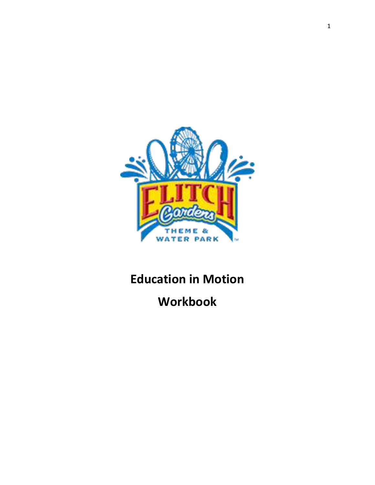

# **Education in Motion**

**Workbook**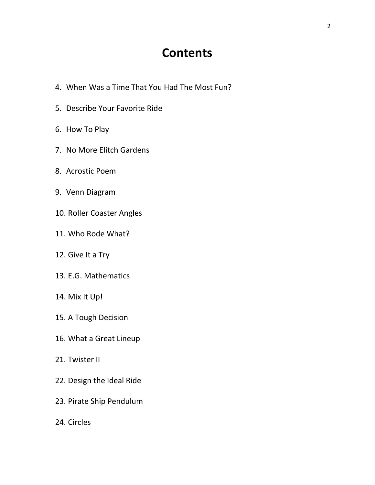## **Contents**

- 4. When Was a Time That You Had The Most Fun?
- 5. Describe Your Favorite Ride
- 6. How To Play
- 7. No More Elitch Gardens
- 8. Acrostic Poem
- 9. Venn Diagram
- 10. Roller Coaster Angles
- 11. Who Rode What?
- 12. Give It a Try
- 13. E.G. Mathematics
- 14. Mix It Up!
- 15. A Tough Decision
- 16. What a Great Lineup
- 21. Twister II
- 22. Design the Ideal Ride
- 23. Pirate Ship Pendulum
- 24. Circles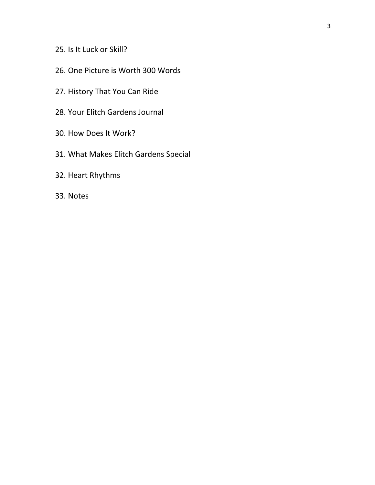## 25. Is It Luck or Skill?

- 26. One Picture is Worth 300 Words
- 27. History That You Can Ride
- 28. Your Elitch Gardens Journal
- 30. How Does It Work?
- 31. What Makes Elitch Gardens Special
- 32. Heart Rhythms
- 33. Notes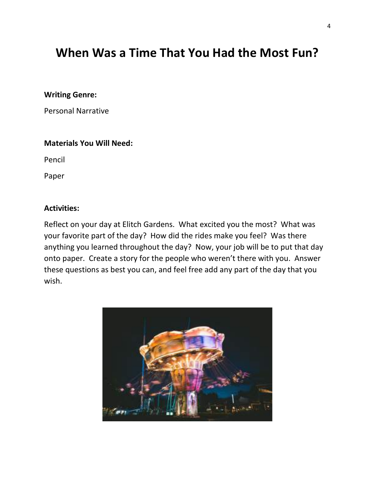## **When Was a Time That You Had the Most Fun?**

#### **Writing Genre:**

Personal Narrative

#### **Materials You Will Need:**

Pencil

Paper

#### **Activities:**

Reflect on your day at Elitch Gardens. What excited you the most? What was your favorite part of the day? How did the rides make you feel? Was there anything you learned throughout the day? Now, your job will be to put that day onto paper. Create a story for the people who weren't there with you. Answer these questions as best you can, and feel free add any part of the day that you wish.

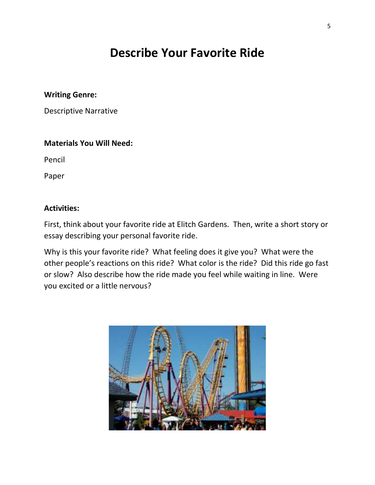## **Describe Your Favorite Ride**

#### **Writing Genre:**

Descriptive Narrative

#### **Materials You Will Need:**

Pencil

Paper

## **Activities:**

First, think about your favorite ride at Elitch Gardens. Then, write a short story or essay describing your personal favorite ride.

Why is this your favorite ride? What feeling does it give you? What were the other people's reactions on this ride? What color is the ride? Did this ride go fast or slow? Also describe how the ride made you feel while waiting in line. Were you excited or a little nervous?

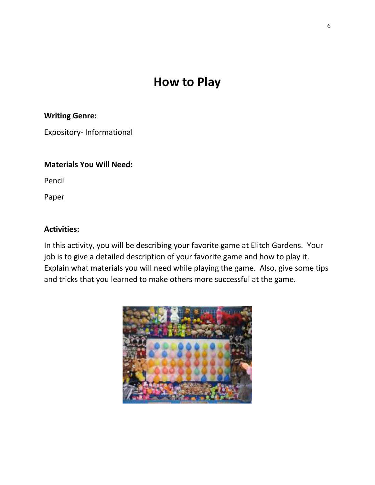## **How to Play**

## **Writing Genre:**

Expository- Informational

#### **Materials You Will Need:**

Pencil

Paper

### **Activities:**

In this activity, you will be describing your favorite game at Elitch Gardens. Your job is to give a detailed description of your favorite game and how to play it. Explain what materials you will need while playing the game. Also, give some tips and tricks that you learned to make others more successful at the game.

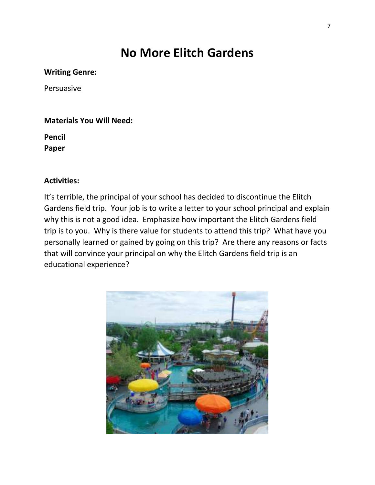## **No More Elitch Gardens**

### **Writing Genre:**

Persuasive

### **Materials You Will Need:**

**Pencil Paper**

## **Activities:**

It's terrible, the principal of your school has decided to discontinue the Elitch Gardens field trip. Your job is to write a letter to your school principal and explain why this is not a good idea. Emphasize how important the Elitch Gardens field trip is to you. Why is there value for students to attend this trip? What have you personally learned or gained by going on this trip? Are there any reasons or facts that will convince your principal on why the Elitch Gardens field trip is an educational experience?

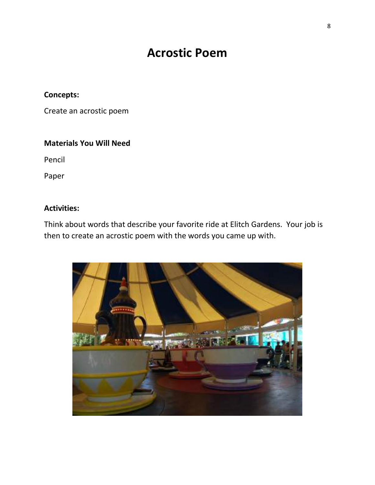## **Acrostic Poem**

## **Concepts:**

Create an acrostic poem

## **Materials You Will Need**

Pencil

Paper

## **Activities:**

Think about words that describe your favorite ride at Elitch Gardens. Your job is then to create an acrostic poem with the words you came up with.

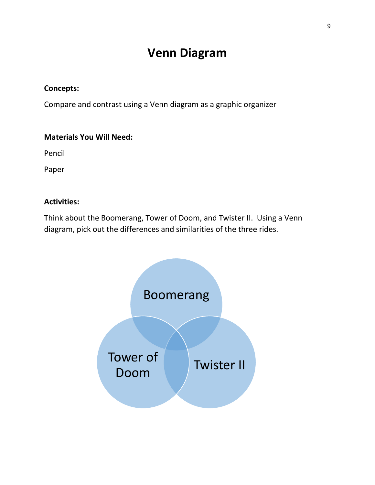## **Venn Diagram**

### **Concepts:**

Compare and contrast using a Venn diagram as a graphic organizer

#### **Materials You Will Need:**

Pencil

Paper

#### **Activities:**

Think about the Boomerang, Tower of Doom, and Twister II. Using a Venn diagram, pick out the differences and similarities of the three rides.

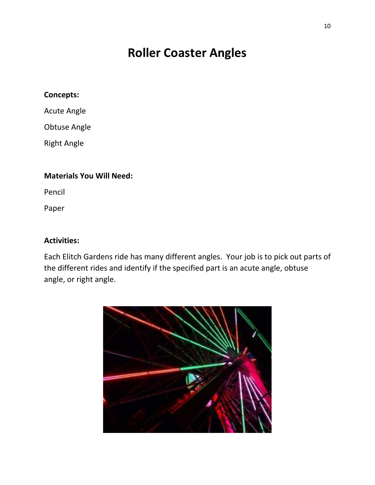## **Roller Coaster Angles**

## **Concepts:**

Acute Angle

Obtuse Angle

Right Angle

## **Materials You Will Need:**

Pencil

Paper

## **Activities:**

Each Elitch Gardens ride has many different angles. Your job is to pick out parts of the different rides and identify if the specified part is an acute angle, obtuse angle, or right angle.

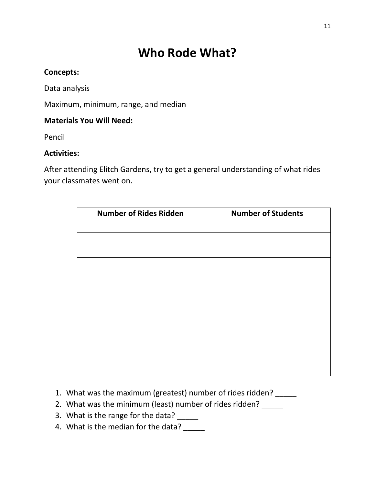## **Who Rode What?**

## **Concepts:**

Data analysis

Maximum, minimum, range, and median

## **Materials You Will Need:**

Pencil

## **Activities:**

After attending Elitch Gardens, try to get a general understanding of what rides your classmates went on.

| <b>Number of Rides Ridden</b> | <b>Number of Students</b> |
|-------------------------------|---------------------------|
|                               |                           |
|                               |                           |
|                               |                           |
|                               |                           |
|                               |                           |
|                               |                           |

- 1. What was the maximum (greatest) number of rides ridden?
- 2. What was the minimum (least) number of rides ridden?
- 3. What is the range for the data? \_\_\_\_\_
- 4. What is the median for the data?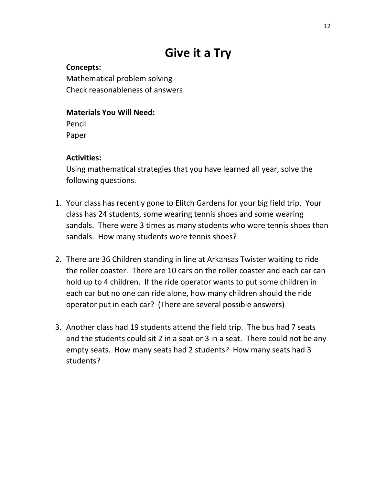# **Give it a Try**

**Concepts:** Mathematical problem solving Check reasonableness of answers

## **Materials You Will Need:**

Pencil Paper

## **Activities:**

Using mathematical strategies that you have learned all year, solve the following questions.

- 1. Your class has recently gone to Elitch Gardens for your big field trip. Your class has 24 students, some wearing tennis shoes and some wearing sandals. There were 3 times as many students who wore tennis shoes than sandals. How many students wore tennis shoes?
- 2. There are 36 Children standing in line at Arkansas Twister waiting to ride the roller coaster. There are 10 cars on the roller coaster and each car can hold up to 4 children. If the ride operator wants to put some children in each car but no one can ride alone, how many children should the ride operator put in each car? (There are several possible answers)
- 3. Another class had 19 students attend the field trip. The bus had 7 seats and the students could sit 2 in a seat or 3 in a seat. There could not be any empty seats. How many seats had 2 students? How many seats had 3 students?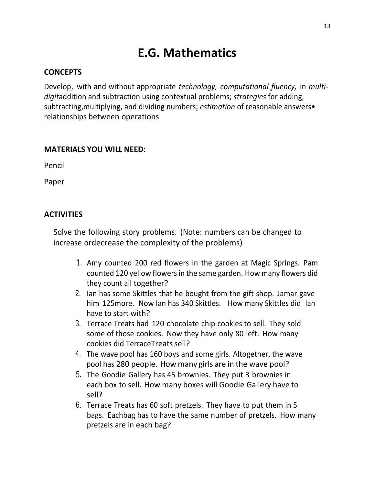## **E.G. Mathematics**

### **CONCEPTS**

Develop, with and without appropriate *technology, computational fluency,* in *multidigit*addition and subtraction using contextual problems; *strategies* for adding, subtracting,multiplying, and dividing numbers; *estimation* of reasonable answers• relationships between operations

#### **MATERIALS YOU WILL NEED:**

Pencil

Paper

### **ACTIVITIES**

Solve the following story problems. (Note: numbers can be changed to increase ordecrease the complexity of the problems)

- 1. Amy counted 200 red flowers in the garden at Magic Springs. Pam counted 120 yellow flowers in the same garden. How many flowers did they count all together?
- 2. Ian has some Skittles that he bought from the gift shop. Jamar gave him 125 more. Now Ian has 340 Skittles. How many Skittles did Ian have to start with?
- 3. Terrace Treats had 120 chocolate chip cookies to sell. They sold some of those cookies. Now they have only 80 left. How many cookies did TerraceTreats sell?
- 4. The wave pool has 160 boys and some girls. Altogether, the wave pool has 280 people. How many girls are in the wave pool?
- 5. The Goodie Gallery has 45 brownies. They put 3 brownies in each box to sell. How many boxes will Goodie Gallery have to sell?
- 6. Terrace Treats has 60 soft pretzels. They have to put them in 5 bags. Eachbag has to have the same number of pretzels. How many pretzels are in each bag?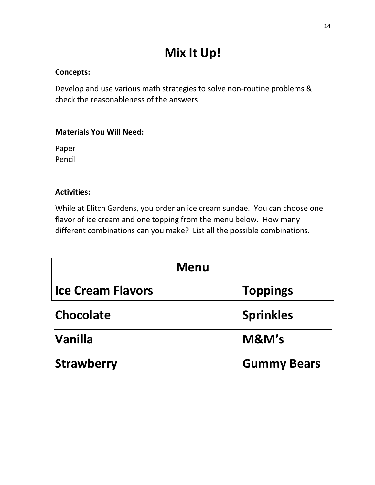## **Mix It Up!**

## **Concepts:**

Develop and use various math strategies to solve non-routine problems & check the reasonableness of the answers

## **Materials You Will Need:**

Paper Pencil

### **Activities:**

While at Elitch Gardens, you order an ice cream sundae. You can choose one flavor of ice cream and one topping from the menu below. How many different combinations can you make? List all the possible combinations.

|                          | <b>Menu</b>        |
|--------------------------|--------------------|
| <b>Ice Cream Flavors</b> | <b>Toppings</b>    |
| <b>Chocolate</b>         | <b>Sprinkles</b>   |
| <b>Vanilla</b>           | M&M's              |
| <b>Strawberry</b>        | <b>Gummy Bears</b> |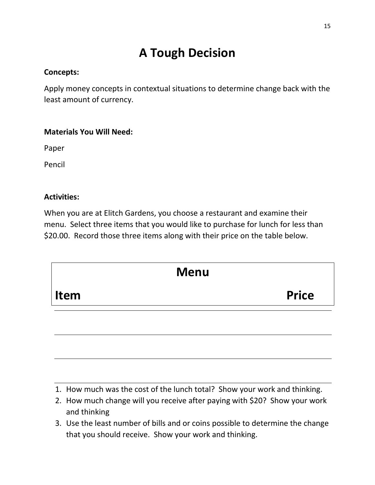# **A Tough Decision**

## **Concepts:**

Apply money concepts in contextual situations to determine change back with the least amount of currency.

## **Materials You Will Need:**

Paper

Pencil

## **Activities:**

When you are at Elitch Gardens, you choose a restaurant and examine their menu. Select three items that you would like to purchase for lunch for less than \$20.00. Record those three items along with their price on the table below.



- 1. How much was the cost of the lunch total? Show your work and thinking.
- 2. How much change will you receive after paying with \$20? Show your work and thinking
- 3. Use the least number of bills and or coins possible to determine the change that you should receive. Show your work and thinking.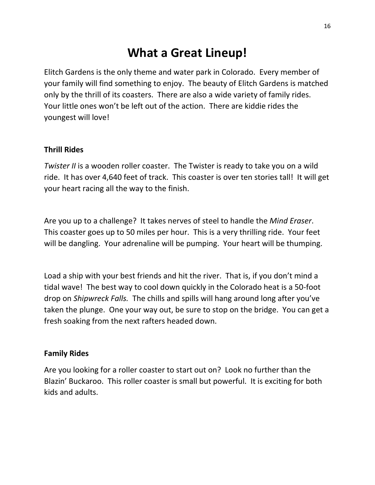## **What a Great Lineup!**

Elitch Gardens is the only theme and water park in Colorado. Every member of your family will find something to enjoy. The beauty of Elitch Gardens is matched only by the thrill of its coasters. There are also a wide variety of family rides. Your little ones won't be left out of the action. There are kiddie rides the youngest will love!

## **Thrill Rides**

*Twister II* is a wooden roller coaster. The Twister is ready to take you on a wild ride. It has over 4,640 feet of track. This coaster is over ten stories tall! It will get your heart racing all the way to the finish.

Are you up to a challenge? It takes nerves of steel to handle the *Mind Eraser*. This coaster goes up to 50 miles per hour. This is a very thrilling ride. Your feet will be dangling. Your adrenaline will be pumping. Your heart will be thumping.

Load a ship with your best friends and hit the river. That is, if you don't mind a tidal wave! The best way to cool down quickly in the Colorado heat is a 50-foot drop on *Shipwreck Falls.* The chills and spills will hang around long after you've taken the plunge. One your way out, be sure to stop on the bridge. You can get a fresh soaking from the next rafters headed down.

### **Family Rides**

Are you looking for a roller coaster to start out on? Look no further than the Blazin' Buckaroo. This roller coaster is small but powerful. It is exciting for both kids and adults.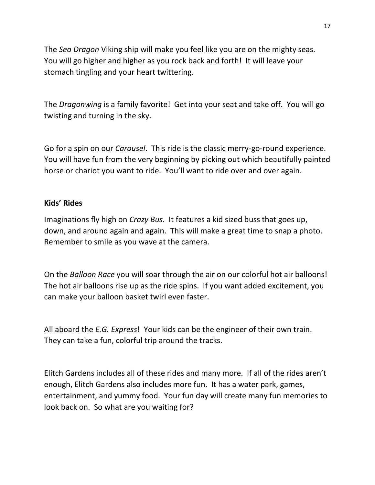The *Sea Dragon* Viking ship will make you feel like you are on the mighty seas. You will go higher and higher as you rock back and forth! It will leave your stomach tingling and your heart twittering.

The *Dragonwing* is a family favorite! Get into your seat and take off. You will go twisting and turning in the sky.

Go for a spin on our *Carousel*. This ride is the classic merry-go-round experience. You will have fun from the very beginning by picking out which beautifully painted horse or chariot you want to ride. You'll want to ride over and over again.

### **Kids' Rides**

Imaginations fly high on *Crazy Bus.* It features a kid sized buss that goes up, down, and around again and again. This will make a great time to snap a photo. Remember to smile as you wave at the camera.

On the *Balloon Race* you will soar through the air on our colorful hot air balloons! The hot air balloons rise up as the ride spins. If you want added excitement, you can make your balloon basket twirl even faster.

All aboard the *E.G. Express*! Your kids can be the engineer of their own train. They can take a fun, colorful trip around the tracks.

Elitch Gardens includes all of these rides and many more. If all of the rides aren't enough, Elitch Gardens also includes more fun. It has a water park, games, entertainment, and yummy food. Your fun day will create many fun memories to look back on. So what are you waiting for?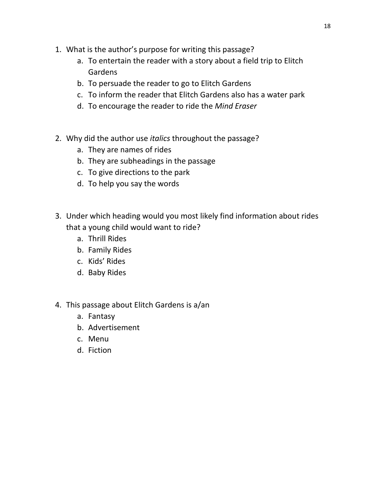- 1. What is the author's purpose for writing this passage?
	- a. To entertain the reader with a story about a field trip to Elitch Gardens
	- b. To persuade the reader to go to Elitch Gardens
	- c. To inform the reader that Elitch Gardens also has a water park
	- d. To encourage the reader to ride the *Mind Eraser*
- 2. Why did the author use *italics* throughout the passage?
	- a. They are names of rides
	- b. They are subheadings in the passage
	- c. To give directions to the park
	- d. To help you say the words
- 3. Under which heading would you most likely find information about rides that a young child would want to ride?
	- a. Thrill Rides
	- b. Family Rides
	- c. Kids' Rides
	- d. Baby Rides
- 4. This passage about Elitch Gardens is a/an
	- a. Fantasy
	- b. Advertisement
	- c. Menu
	- d. Fiction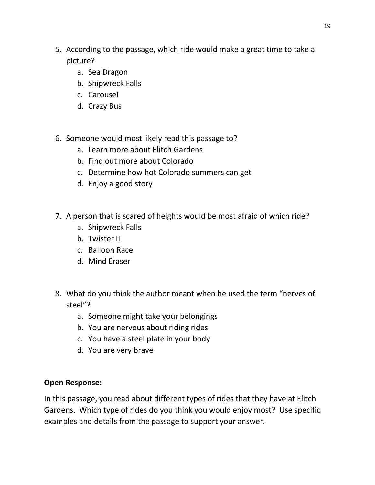- 5. According to the passage, which ride would make a great time to take a picture?
	- a. Sea Dragon
	- b. Shipwreck Falls
	- c. Carousel
	- d. Crazy Bus
- 6. Someone would most likely read this passage to?
	- a. Learn more about Elitch Gardens
	- b. Find out more about Colorado
	- c. Determine how hot Colorado summers can get
	- d. Enjoy a good story
- 7. A person that is scared of heights would be most afraid of which ride?
	- a. Shipwreck Falls
	- b. Twister II
	- c. Balloon Race
	- d. Mind Eraser
- 8. What do you think the author meant when he used the term "nerves of steel"?
	- a. Someone might take your belongings
	- b. You are nervous about riding rides
	- c. You have a steel plate in your body
	- d. You are very brave

## **Open Response:**

In this passage, you read about different types of rides that they have at Elitch Gardens. Which type of rides do you think you would enjoy most? Use specific examples and details from the passage to support your answer.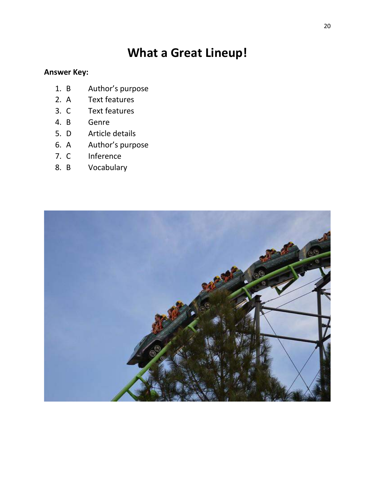## **What a Great Lineup!**

## **Answer Key:**

- 1. B Author's purpose
- 2. A Text features
- 3. C Text features
- 4. B Genre
- 5. D Article details
- 6. A Author's purpose
- 7. C Inference
- 8. B Vocabulary

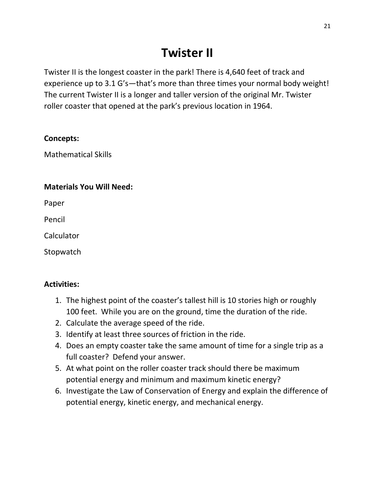# **Twister II**

Twister II is the longest coaster in the park! There is 4,640 feet of track and experience up to 3.1 G's—that's more than three times your normal body weight! The current Twister II is a longer and taller version of the original Mr. Twister roller coaster that opened at the park's previous location in 1964.

## **Concepts:**

Mathematical Skills

## **Materials You Will Need:**

Paper

Pencil

Calculator

Stopwatch

## **Activities:**

- 1. The highest point of the coaster's tallest hill is 10 stories high or roughly 100 feet. While you are on the ground, time the duration of the ride.
- 2. Calculate the average speed of the ride.
- 3. Identify at least three sources of friction in the ride.
- 4. Does an empty coaster take the same amount of time for a single trip as a full coaster? Defend your answer.
- 5. At what point on the roller coaster track should there be maximum potential energy and minimum and maximum kinetic energy?
- 6. Investigate the Law of Conservation of Energy and explain the difference of potential energy, kinetic energy, and mechanical energy.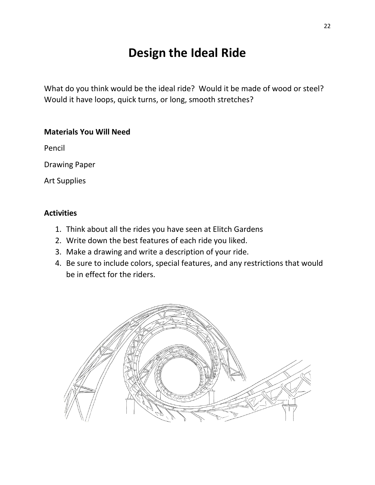## **Design the Ideal Ride**

What do you think would be the ideal ride? Would it be made of wood or steel? Would it have loops, quick turns, or long, smooth stretches?

### **Materials You Will Need**

Pencil

Drawing Paper

Art Supplies

## **Activities**

- 1. Think about all the rides you have seen at Elitch Gardens
- 2. Write down the best features of each ride you liked.
- 3. Make a drawing and write a description of your ride.
- 4. Be sure to include colors, special features, and any restrictions that would be in effect for the riders.

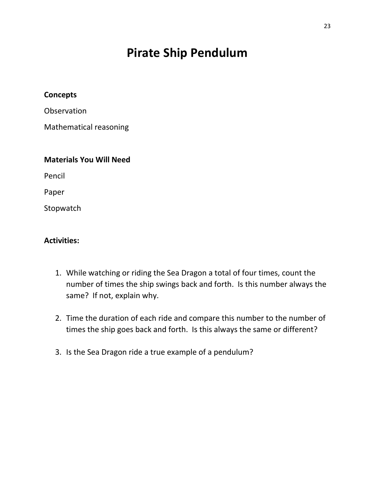## **Pirate Ship Pendulum**

#### **Concepts**

**Observation** 

Mathematical reasoning

## **Materials You Will Need**

Pencil

Paper

Stopwatch

### **Activities:**

- 1. While watching or riding the Sea Dragon a total of four times, count the number of times the ship swings back and forth. Is this number always the same? If not, explain why.
- 2. Time the duration of each ride and compare this number to the number of times the ship goes back and forth. Is this always the same or different?
- 3. Is the Sea Dragon ride a true example of a pendulum?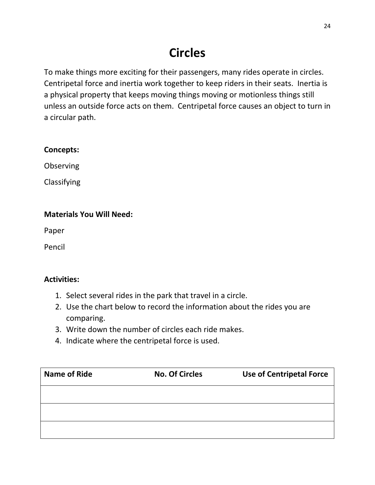# **Circles**

To make things more exciting for their passengers, many rides operate in circles. Centripetal force and inertia work together to keep riders in their seats. Inertia is a physical property that keeps moving things moving or motionless things still unless an outside force acts on them. Centripetal force causes an object to turn in a circular path.

## **Concepts:**

Observing

Classifying

## **Materials You Will Need:**

Paper

Pencil

## **Activities:**

- 1. Select several rides in the park that travel in a circle.
- 2. Use the chart below to record the information about the rides you are comparing.
- 3. Write down the number of circles each ride makes.
- 4. Indicate where the centripetal force is used.

| <b>Name of Ride</b> | <b>No. Of Circles</b> | <b>Use of Centripetal Force</b> |
|---------------------|-----------------------|---------------------------------|
|                     |                       |                                 |
|                     |                       |                                 |
|                     |                       |                                 |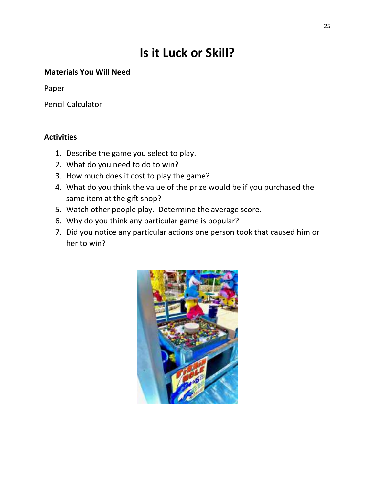# **Is it Luck or Skill?**

## **Materials You Will Need**

Paper

Pencil Calculator

## **Activities**

- 1. Describe the game you select to play.
- 2. What do you need to do to win?
- 3. How much does it cost to play the game?
- 4. What do you think the value of the prize would be if you purchased the same item at the gift shop?
- 5. Watch other people play. Determine the average score.
- 6. Why do you think any particular game is popular?
- 7. Did you notice any particular actions one person took that caused him or her to win?

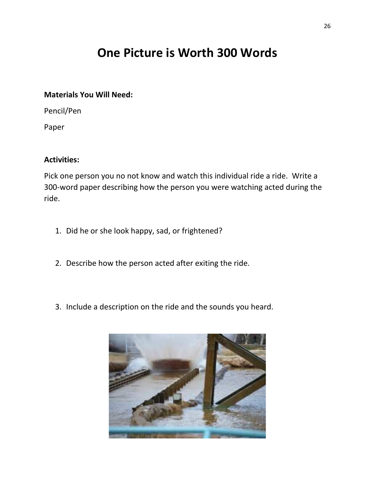## **One Picture is Worth 300 Words**

#### **Materials You Will Need:**

Pencil/Pen

Paper

## **Activities:**

Pick one person you no not know and watch this individual ride a ride. Write a 300-word paper describing how the person you were watching acted during the ride.

- 1. Did he or she look happy, sad, or frightened?
- 2. Describe how the person acted after exiting the ride.
- 3. Include a description on the ride and the sounds you heard.

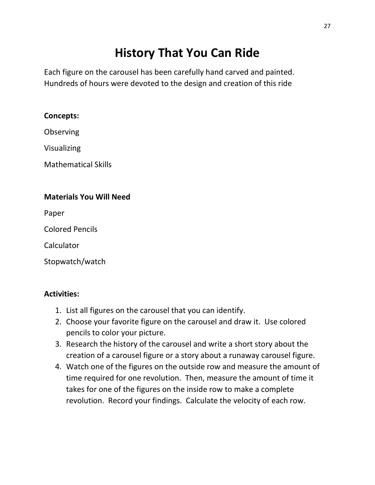# **History That You Can Ride**

Each figure on the carousel has been carefully hand carved and painted. Hundreds of hours were devoted to the design and creation of this ride

## **Concepts:**

**Observing** 

Visualizing

Mathematical Skills

## **Materials You Will Need**

Paper

Colored Pencils

Calculator

Stopwatch/watch

## **Activities:**

- 1. List all figures on the carousel that you can identify.
- 2. Choose your favorite figure on the carousel and draw it. Use colored pencils to color your picture.
- 3. Research the history of the carousel and write a short story about the creation of a carousel figure or a story about a runaway carousel figure.
- 4. Watch one of the figures on the outside row and measure the amount of time required for one revolution. Then, measure the amount of time it takes for one of the figures on the inside row to make a complete revolution. Record your findings. Calculate the velocity of each row.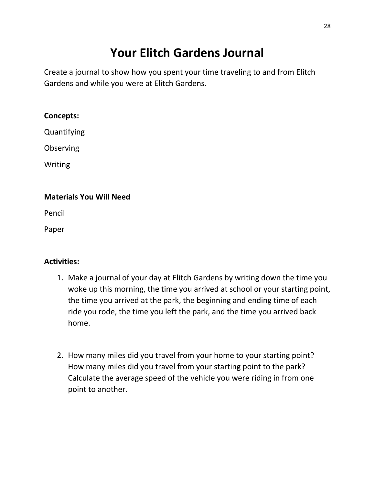# **Your Elitch Gardens Journal**

Create a journal to show how you spent your time traveling to and from Elitch Gardens and while you were at Elitch Gardens.

### **Concepts:**

Quantifying

**Observing** 

Writing

## **Materials You Will Need**

Pencil

Paper

## **Activities:**

- 1. Make a journal of your day at Elitch Gardens by writing down the time you woke up this morning, the time you arrived at school or your starting point, the time you arrived at the park, the beginning and ending time of each ride you rode, the time you left the park, and the time you arrived back home.
- 2. How many miles did you travel from your home to your starting point? How many miles did you travel from your starting point to the park? Calculate the average speed of the vehicle you were riding in from one point to another.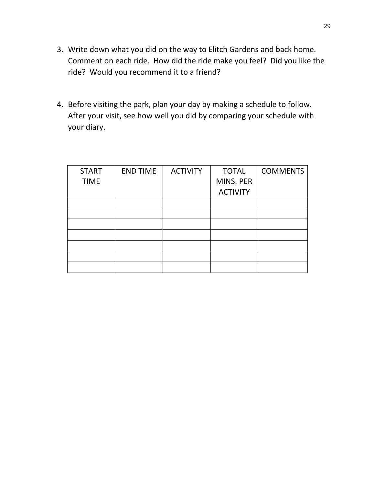- 3. Write down what you did on the way to Elitch Gardens and back home. Comment on each ride. How did the ride make you feel? Did you like the ride? Would you recommend it to a friend?
- 4. Before visiting the park, plan your day by making a schedule to follow. After your visit, see how well you did by comparing your schedule with your diary.

| <b>START</b> | <b>END TIME</b> | <b>ACTIVITY</b> | <b>TOTAL</b>    | <b>COMMENTS</b> |
|--------------|-----------------|-----------------|-----------------|-----------------|
| <b>TIME</b>  |                 |                 | MINS. PER       |                 |
|              |                 |                 | <b>ACTIVITY</b> |                 |
|              |                 |                 |                 |                 |
|              |                 |                 |                 |                 |
|              |                 |                 |                 |                 |
|              |                 |                 |                 |                 |
|              |                 |                 |                 |                 |
|              |                 |                 |                 |                 |
|              |                 |                 |                 |                 |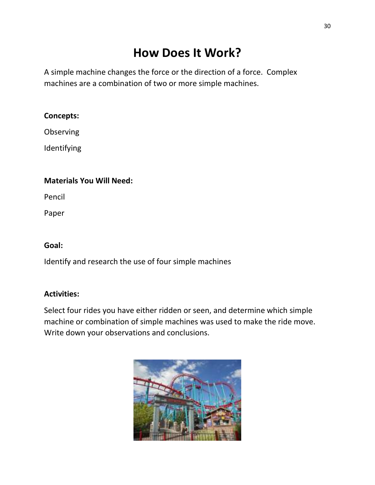# **How Does It Work?**

A simple machine changes the force or the direction of a force. Complex machines are a combination of two or more simple machines.

## **Concepts:**

Observing

Identifying

## **Materials You Will Need:**

Pencil

Paper

## **Goal:**

Identify and research the use of four simple machines

## **Activities:**

Select four rides you have either ridden or seen, and determine which simple machine or combination of simple machines was used to make the ride move. Write down your observations and conclusions.

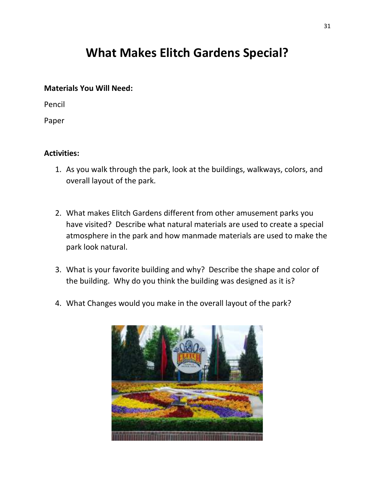## **What Makes Elitch Gardens Special?**

#### **Materials You Will Need:**

Pencil

Paper

## **Activities:**

- 1. As you walk through the park, look at the buildings, walkways, colors, and overall layout of the park.
- 2. What makes Elitch Gardens different from other amusement parks you have visited? Describe what natural materials are used to create a special atmosphere in the park and how manmade materials are used to make the park look natural.
- 3. What is your favorite building and why? Describe the shape and color of the building. Why do you think the building was designed as it is?
- 4. What Changes would you make in the overall layout of the park?

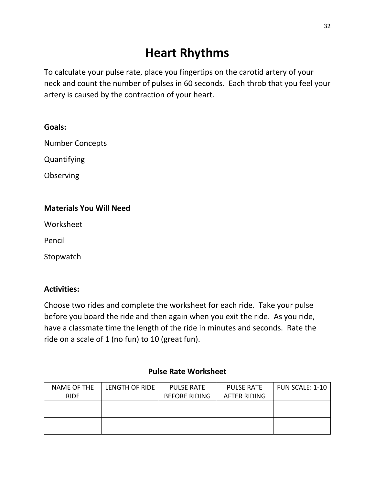## **Heart Rhythms**

To calculate your pulse rate, place you fingertips on the carotid artery of your neck and count the number of pulses in 60 seconds. Each throb that you feel your artery is caused by the contraction of your heart.

Number Concepts

Quantifying

Observing

## **Materials You Will Need**

Worksheet

Pencil

**Stopwatch** 

## **Activities:**

Choose two rides and complete the worksheet for each ride. Take your pulse before you board the ride and then again when you exit the ride. As you ride, have a classmate time the length of the ride in minutes and seconds. Rate the ride on a scale of 1 (no fun) to 10 (great fun).

## **Pulse Rate Worksheet**

| NAME OF THE | LENGTH OF RIDE | <b>PULSE RATE</b>    | <b>PULSE RATE</b> | FUN SCALE: 1-10 |
|-------------|----------------|----------------------|-------------------|-----------------|
| <b>RIDE</b> |                | <b>BEFORE RIDING</b> | AFTER RIDING      |                 |
|             |                |                      |                   |                 |
|             |                |                      |                   |                 |
|             |                |                      |                   |                 |
|             |                |                      |                   |                 |